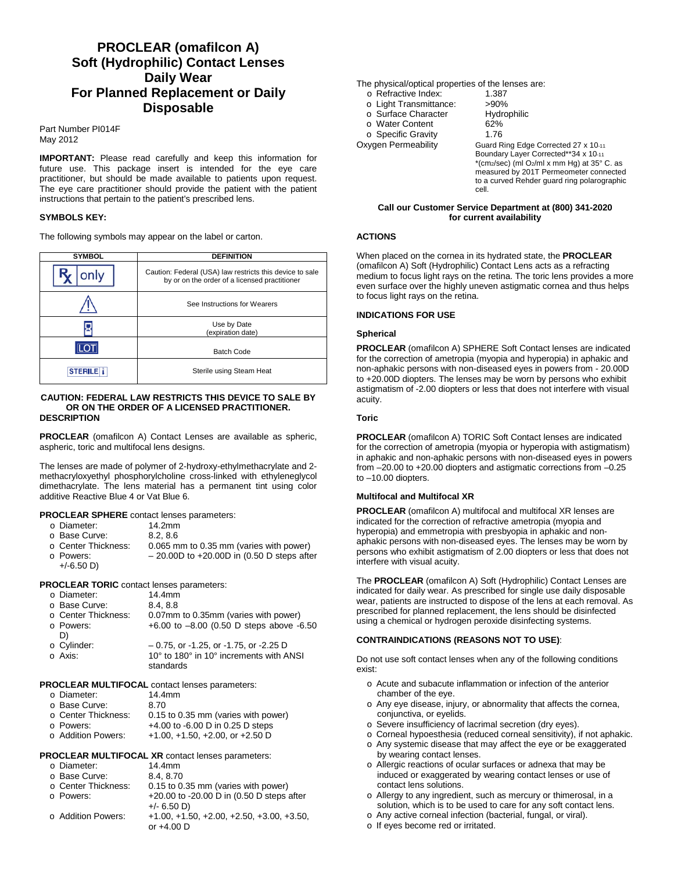# **PROCLEAR (omafilcon A) Soft (Hydrophilic) Contact Lenses Daily Wear For Planned Replacement or Daily Disposable**

Part Number PI014F May 2012

**IMPORTANT:** Please read carefully and keep this information for future use. This package insert is intended for the eye care practitioner, but should be made available to patients upon request. The eye care practitioner should provide the patient with the patient instructions that pertain to the patient's prescribed lens.

### **SYMBOLS KEY:**

The following symbols may appear on the label or carton.

| <b>SYMBOL</b>  | <b>DEFINITION</b>                                                                                         |  |
|----------------|-----------------------------------------------------------------------------------------------------------|--|
| only           | Caution: Federal (USA) law restricts this device to sale<br>by or on the order of a licensed practitioner |  |
|                | See Instructions for Wearers                                                                              |  |
|                | Use by Date<br>(expiration date)                                                                          |  |
|                | <b>Batch Code</b>                                                                                         |  |
| <b>STERILE</b> | Sterile using Steam Heat                                                                                  |  |

#### **CAUTION: FEDERAL LAW RESTRICTS THIS DEVICE TO SALE BY OR ON THE ORDER OF A LICENSED PRACTITIONER. DESCRIPTION**

**PROCLEAR** (omafilcon A) Contact Lenses are available as spheric, aspheric, toric and multifocal lens designs.

The lenses are made of polymer of 2-hydroxy-ethylmethacrylate and 2 methacryloxyethyl phosphorylcholine cross-linked with ethyleneglycol dimethacrylate. The lens material has a permanent tint using color additive Reactive Blue 4 or Vat Blue 6.

**PROCLEAR SPHERE** contact lenses parameters:

| o Diameter:           | 14.2mm                                       |
|-----------------------|----------------------------------------------|
| o Base Curve: ∈       | 8.2.86                                       |
| ○ Center Thickness: . | 0.065 mm to 0.35 mm (varies with power)      |
| o Powers:             | $-$ 20.00D to +20.00D in (0.50 D steps after |

+/-6.50 D)

**PROCLEAR TORIC** contact lenses parameters:

| o Diameter:         | 14.4mm                                       |  |  |  |
|---------------------|----------------------------------------------|--|--|--|
| o Base Curve:       | 8.4.8.8                                      |  |  |  |
| ○ Center Thickness: | 0.07mm to 0.35mm (varies with power)         |  |  |  |
| o Powers:           | +6.00 to $-8.00$ (0.50 D steps above $-6.50$ |  |  |  |
| D)                  |                                              |  |  |  |
| o Cylinder:         | $-0.75$ , or -1.25, or -1.75, or -2.25 D     |  |  |  |
| o Axis:             | 10° to 180° in 10° increments with ANSI      |  |  |  |
|                     | standards                                    |  |  |  |

### **PROCLEAR MULTIFOCAL** contact lenses parameters:

| o Diameter:         | 14.4mm                              |
|---------------------|-------------------------------------|
| o Base Curve:       | 8.70                                |
| ○ Center Thickness: | 0.15 to 0.35 mm (varies with power) |
| o Powers:           | +4.00 to -6.00 D in 0.25 D steps    |
| ○ Addition Powers:  | $+1.00, +1.50, +2.00,$ or $+2.50$ D |
|                     |                                     |

### **PROCLEAR MULTIFOCAL XR** contact lenses parameters:

| o Diameter:         | 14.4mm                                      |
|---------------------|---------------------------------------------|
| o Base Curve:       | 8.4.8.70                                    |
| ○ Center Thickness: | 0.15 to 0.35 mm (varies with power)         |
| o Powers:           | +20.00 to -20.00 D in (0.50 D steps after   |
|                     | $+/- 6.50$ D)                               |
| ○ Addition Powers:  | $+1.00, +1.50, +2.00, +2.50, +3.00, +3.50,$ |
|                     | or $+4.00$ D                                |

- The physical/optical properties of the lenses are:<br>  $\frac{1}{2}$  Refractive Index:  $\frac{1}{2}$  387
	- o Refractive Index: 1.387<br>
	o Light Transmittance: >90%
	- o Light Transmittance: >90%<br>○ Surface Character Hydrophilic
	- o Surface Character Hydr<br>
	o Water Content 62%
	- o Water Content 62%<br>
	∩ Specific Gravity 1.76
- o Specific Gravity<br>Oxygen Permeability

Guard Ring Edge Corrected 27 x 10-11 Boundary Layer Corrected\*\*34 x 10-11 \*(cm2/sec) (ml O2/ml x mm Hg) at 35° C. as measured by 201T Permeometer connected to a curved Rehder guard ring polarographic cell.

#### **Call our Customer Service Department at (800) 341-2020 for current availability**

### **ACTIONS**

When placed on the cornea in its hydrated state, the **PROCLEAR** (omafilcon A) Soft (Hydrophilic) Contact Lens acts as a refracting medium to focus light rays on the retina. The toric lens provides a more even surface over the highly uneven astigmatic cornea and thus helps to focus light rays on the retina.

### **INDICATIONS FOR USE**

### **Spherical**

**PROCLEAR** (omafilcon A) SPHERE Soft Contact lenses are indicated for the correction of ametropia (myopia and hyperopia) in aphakic and non-aphakic persons with non-diseased eyes in powers from - 20.00D to +20.00D diopters. The lenses may be worn by persons who exhibit astigmatism of -2.00 diopters or less that does not interfere with visual acuity.

### **Toric**

**PROCLEAR** (omafilcon A) TORIC Soft Contact lenses are indicated for the correction of ametropia (myopia or hyperopia with astigmatism) in aphakic and non-aphakic persons with non-diseased eyes in powers from –20.00 to +20.00 diopters and astigmatic corrections from –0.25 to –10.00 diopters.

### **Multifocal and Multifocal XR**

**PROCLEAR** (omafilcon A) multifocal and multifocal XR lenses are indicated for the correction of refractive ametropia (myopia and hyperopia) and emmetropia with presbyopia in aphakic and nonaphakic persons with non-diseased eyes. The lenses may be worn by persons who exhibit astigmatism of 2.00 diopters or less that does not interfere with visual acuity.

The **PROCLEAR** (omafilcon A) Soft (Hydrophilic) Contact Lenses are indicated for daily wear. As prescribed for single use daily disposable wear, patients are instructed to dispose of the lens at each removal. As prescribed for planned replacement, the lens should be disinfected using a chemical or hydrogen peroxide disinfecting systems.

### **CONTRAINDICATIONS (REASONS NOT TO USE)**:

Do not use soft contact lenses when any of the following conditions exist:

- o Acute and subacute inflammation or infection of the anterior chamber of the eye.
- o Any eye disease, injury, or abnormality that affects the cornea, conjunctiva, or eyelids.
- o Severe insufficiency of lacrimal secretion (dry eyes).
- o Corneal hypoesthesia (reduced corneal sensitivity), if not aphakic. o Any systemic disease that may affect the eye or be exaggerated
- by wearing contact lenses.
- o Allergic reactions of ocular surfaces or adnexa that may be induced or exaggerated by wearing contact lenses or use of contact lens solutions.
- o Allergy to any ingredient, such as mercury or thimerosal, in a solution, which is to be used to care for any soft contact lens.
- o Any active corneal infection (bacterial, fungal, or viral).
- o If eyes become red or irritated.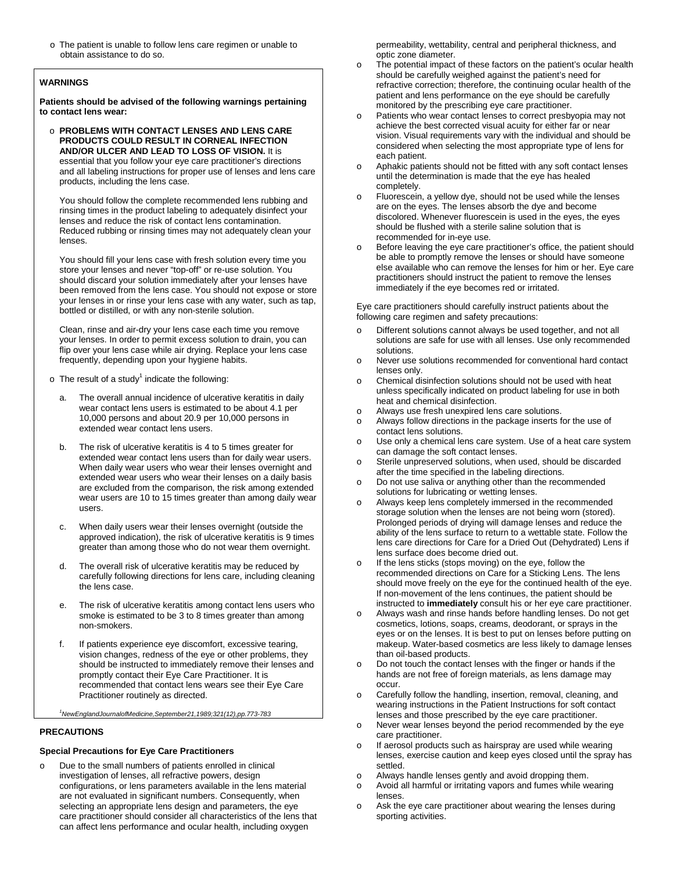o The patient is unable to follow lens care regimen or unable to obtain assistance to do so.

### **WARNINGS**

**Patients should be advised of the following warnings pertaining to contact lens wear:**

o **PROBLEMS WITH CONTACT LENSES AND LENS CARE PRODUCTS COULD RESULT IN CORNEAL INFECTION AND/OR ULCER AND LEAD TO LOSS OF VISION.** It is essential that you follow your eye care practitioner's directions and all labeling instructions for proper use of lenses and lens care products, including the lens case.

You should follow the complete recommended lens rubbing and rinsing times in the product labeling to adequately disinfect your lenses and reduce the risk of contact lens contamination. Reduced rubbing or rinsing times may not adequately clean your lenses.

You should fill your lens case with fresh solution every time you store your lenses and never "top-off" or re-use solution. You should discard your solution immediately after your lenses have been removed from the lens case. You should not expose or store your lenses in or rinse your lens case with any water, such as tap, bottled or distilled, or with any non-sterile solution.

Clean, rinse and air-dry your lens case each time you remove your lenses. In order to permit excess solution to drain, you can flip over your lens case while air drying. Replace your lens case frequently, depending upon your hygiene habits.

- $\circ$  The result of a study<sup>1</sup> indicate the following:
	- a. The overall annual incidence of ulcerative keratitis in daily wear contact lens users is estimated to be about 4.1 per 10,000 persons and about 20.9 per 10,000 persons in extended wear contact lens users.
	- b. The risk of ulcerative keratitis is 4 to 5 times greater for extended wear contact lens users than for daily wear users. When daily wear users who wear their lenses overnight and extended wear users who wear their lenses on a daily basis are excluded from the comparison, the risk among extended wear users are 10 to 15 times greater than among daily wear users.
	- c. When daily users wear their lenses overnight (outside the approved indication), the risk of ulcerative keratitis is 9 times greater than among those who do not wear them overnight.
	- d. The overall risk of ulcerative keratitis may be reduced by carefully following directions for lens care, including cleaning the lens case.
	- e. The risk of ulcerative keratitis among contact lens users who smoke is estimated to be 3 to 8 times greater than among non-smokers.
	- f. If patients experience eye discomfort, excessive tearing, vision changes, redness of the eye or other problems, they should be instructed to immediately remove their lenses and promptly contact their Eye Care Practitioner. It is recommended that contact lens wears see their Eye Care Practitioner routinely as directed.

*1 NewEnglandJournalofMedicine,September21,1989;321(12),pp.773-783*

### **PRECAUTIONS**

## **Special Precautions for Eye Care Practitioners**

Due to the small numbers of patients enrolled in clinical investigation of lenses, all refractive powers, design configurations, or lens parameters available in the lens material are not evaluated in significant numbers. Consequently, when selecting an appropriate lens design and parameters, the eye care practitioner should consider all characteristics of the lens that can affect lens performance and ocular health, including oxygen

permeability, wettability, central and peripheral thickness, and optic zone diameter.

- o The potential impact of these factors on the patient's ocular health should be carefully weighed against the patient's need for refractive correction; therefore, the continuing ocular health of the patient and lens performance on the eye should be carefully monitored by the prescribing eye care practitioner.
- o Patients who wear contact lenses to correct presbyopia may not achieve the best corrected visual acuity for either far or near vision. Visual requirements vary with the individual and should be considered when selecting the most appropriate type of lens for each patient.
- o Aphakic patients should not be fitted with any soft contact lenses until the determination is made that the eye has healed completely.
- o Fluorescein, a yellow dye, should not be used while the lenses are on the eyes. The lenses absorb the dye and become discolored. Whenever fluorescein is used in the eyes, the eyes should be flushed with a sterile saline solution that is recommended for in-eye use.
- o Before leaving the eye care practitioner's office, the patient should be able to promptly remove the lenses or should have someone else available who can remove the lenses for him or her. Eye care practitioners should instruct the patient to remove the lenses immediately if the eye becomes red or irritated.

Eye care practitioners should carefully instruct patients about the following care regimen and safety precautions:

- o Different solutions cannot always be used together, and not all solutions are safe for use with all lenses. Use only recommended solutions.
- o Never use solutions recommended for conventional hard contact lenses only.
- o Chemical disinfection solutions should not be used with heat unless specifically indicated on product labeling for use in both heat and chemical disinfection.
- o Always use fresh unexpired lens care solutions.<br>
o Always follow directions in the package inserts fo
- Always follow directions in the package inserts for the use of contact lens solutions.
- o Use only a chemical lens care system. Use of a heat care system can damage the soft contact lenses.
- o Sterile unpreserved solutions, when used, should be discarded after the time specified in the labeling directions.
- o Do not use saliva or anything other than the recommended solutions for lubricating or wetting lenses.
- o Always keep lens completely immersed in the recommended storage solution when the lenses are not being worn (stored). Prolonged periods of drying will damage lenses and reduce the ability of the lens surface to return to a wettable state. Follow the lens care directions for Care for a Dried Out (Dehydrated) Lens if lens surface does become dried out.
- o If the lens sticks (stops moving) on the eye, follow the recommended directions on Care for a Sticking Lens. The lens should move freely on the eye for the continued health of the eye. If non-movement of the lens continues, the patient should be instructed to **immediately** consult his or her eye care practitioner.
- o Always wash and rinse hands before handling lenses. Do not get cosmetics, lotions, soaps, creams, deodorant, or sprays in the eyes or on the lenses. It is best to put on lenses before putting on makeup. Water-based cosmetics are less likely to damage lenses than oil-based products.
- o Do not touch the contact lenses with the finger or hands if the hands are not free of foreign materials, as lens damage may occur.
- o Carefully follow the handling, insertion, removal, cleaning, and wearing instructions in the Patient Instructions for soft contact lenses and those prescribed by the eye care practitioner.
- o Never wear lenses beyond the period recommended by the eye care practitioner.
- o If aerosol products such as hairspray are used while wearing lenses, exercise caution and keep eyes closed until the spray has settled.
- $\circ$  Always handle lenses gently and avoid dropping them.<br> $\circ$  Avoid all barmful or irritating vapors and fumes while we
- Avoid all harmful or irritating vapors and fumes while wearing lenses.
- o Ask the eye care practitioner about wearing the lenses during sporting activities.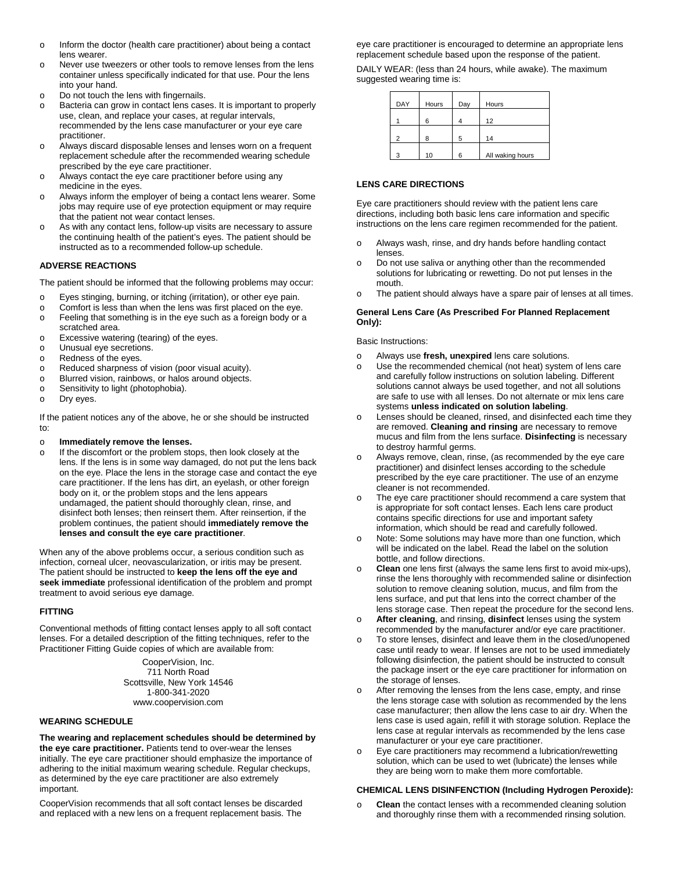- o Inform the doctor (health care practitioner) about being a contact lens wearer.
- o Never use tweezers or other tools to remove lenses from the lens container unless specifically indicated for that use. Pour the lens into your hand.
- o Do not touch the lens with fingernails.
- o Bacteria can grow in contact lens cases. It is important to properly use, clean, and replace your cases, at regular intervals, recommended by the lens case manufacturer or your eye care practitioner.
- o Always discard disposable lenses and lenses worn on a frequent replacement schedule after the recommended wearing schedule prescribed by the eye care practitioner.
- o Always contact the eye care practitioner before using any medicine in the eyes.
- o Always inform the employer of being a contact lens wearer. Some jobs may require use of eye protection equipment or may require that the patient not wear contact lenses.
- o As with any contact lens, follow-up visits are necessary to assure the continuing health of the patient's eyes. The patient should be instructed as to a recommended follow-up schedule.

### **ADVERSE REACTIONS**

The patient should be informed that the following problems may occur:

- o Eyes stinging, burning, or itching (irritation), or other eye pain.<br>
o Comfort is less than when the lens was first placed on the eve
- $\circ$  Comfort is less than when the lens was first placed on the eye.<br>
Feeling that something is in the eye such as a foreign body or
- Feeling that something is in the eye such as a foreign body or a scratched area.
- o Excessive watering (tearing) of the eyes.<br>
o Unusual eve secretions.
- Unusual eye secretions.
- o Redness of the eyes.<br>
o Reduced sharpness of
- Reduced sharpness of vision (poor visual acuity).
- o Blurred vision, rainbows, or halos around objects.<br>
Sensitivity to light (photophobia).
- Sensitivity to light (photophobia).

o Dry eyes.

If the patient notices any of the above, he or she should be instructed to:

- o **Immediately remove the lenses.**<br> **o** If the discomfort or the problem sto
- If the discomfort or the problem stops, then look closely at the lens. If the lens is in some way damaged, do not put the lens back on the eye. Place the lens in the storage case and contact the eye care practitioner. If the lens has dirt, an eyelash, or other foreign body on it, or the problem stops and the lens appears undamaged, the patient should thoroughly clean, rinse, and disinfect both lenses; then reinsert them. After reinsertion, if the problem continues, the patient should **immediately remove the lenses and consult the eye care practitioner**.

When any of the above problems occur, a serious condition such as infection, corneal ulcer, neovascularization, or iritis may be present. The patient should be instructed to **keep the lens off the eye and seek immediate** professional identification of the problem and prompt treatment to avoid serious eye damage.

### **FITTING**

Conventional methods of fitting contact lenses apply to all soft contact lenses. For a detailed description of the fitting techniques, refer to the Practitioner Fitting Guide copies of which are available from:

> CooperVision, Inc. 711 North Road Scottsville, New York 14546 1-800-341-2020 www.coopervision.com

### **WEARING SCHEDULE**

**The wearing and replacement schedules should be determined by the eye care practitioner.** Patients tend to over-wear the lenses initially. The eye care practitioner should emphasize the importance of adhering to the initial maximum wearing schedule. Regular checkups, as determined by the eye care practitioner are also extremely important.

CooperVision recommends that all soft contact lenses be discarded and replaced with a new lens on a frequent replacement basis. The

eye care practitioner is encouraged to determine an appropriate lens replacement schedule based upon the response of the patient.

DAILY WEAR: (less than 24 hours, while awake). The maximum suggested wearing time is:

| DAY           | Hours | Day | Hours            |
|---------------|-------|-----|------------------|
|               | 6     |     | 12               |
| $\mathcal{P}$ | 8     | 5   | 14               |
| -3            | 10    | 6   | All waking hours |

### **LENS CARE DIRECTIONS**

Eye care practitioners should review with the patient lens care directions, including both basic lens care information and specific instructions on the lens care regimen recommended for the patient.

- o Always wash, rinse, and dry hands before handling contact lenses.
- o Do not use saliva or anything other than the recommended solutions for lubricating or rewetting. Do not put lenses in the mouth.
- o The patient should always have a spare pair of lenses at all times.

### **General Lens Care (As Prescribed For Planned Replacement Only):**

Basic Instructions:

- o Always use **fresh, unexpired** lens care solutions.
- o Use the recommended chemical (not heat) system of lens care and carefully follow instructions on solution labeling. Different solutions cannot always be used together, and not all solutions are safe to use with all lenses. Do not alternate or mix lens care systems **unless indicated on solution labeling**.
- o Lenses should be cleaned, rinsed, and disinfected each time they are removed. **Cleaning and rinsing** are necessary to remove mucus and film from the lens surface. **Disinfecting** is necessary to destroy harmful germs.
- o Always remove, clean, rinse, (as recommended by the eye care practitioner) and disinfect lenses according to the schedule prescribed by the eye care practitioner. The use of an enzyme cleaner is not recommended.
- o The eye care practitioner should recommend a care system that is appropriate for soft contact lenses. Each lens care product contains specific directions for use and important safety information, which should be read and carefully followed.
- o Note: Some solutions may have more than one function, which will be indicated on the label. Read the label on the solution bottle, and follow directions.
- o **Clean** one lens first (always the same lens first to avoid mix-ups), rinse the lens thoroughly with recommended saline or disinfection solution to remove cleaning solution, mucus, and film from the lens surface, and put that lens into the correct chamber of the lens storage case. Then repeat the procedure for the second lens.
- o **After cleaning**, and rinsing, **disinfect** lenses using the system recommended by the manufacturer and/or eye care practitioner.
- o To store lenses, disinfect and leave them in the closed/unopened case until ready to wear. If lenses are not to be used immediately following disinfection, the patient should be instructed to consult the package insert or the eye care practitioner for information on the storage of lenses.
- o After removing the lenses from the lens case, empty, and rinse the lens storage case with solution as recommended by the lens case manufacturer; then allow the lens case to air dry. When the lens case is used again, refill it with storage solution. Replace the lens case at regular intervals as recommended by the lens case manufacturer or your eye care practitioner.
- o Eye care practitioners may recommend a lubrication/rewetting solution, which can be used to wet (lubricate) the lenses while they are being worn to make them more comfortable.

### **CHEMICAL LENS DISINFENCTION (Including Hydrogen Peroxide):**

**Clean** the contact lenses with a recommended cleaning solution and thoroughly rinse them with a recommended rinsing solution.